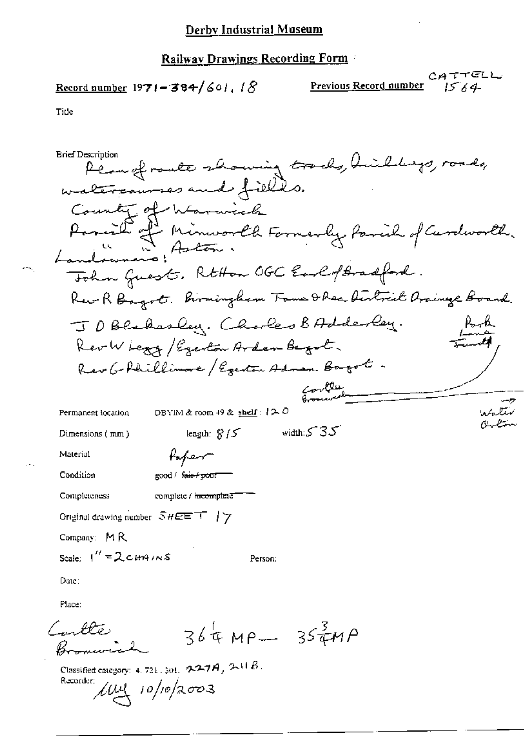## Railway Drawings Recording Form

Title

| <b>Brief Description</b>             |                                                         | Plan of roate showing tracks, Huildings,                               |  |
|--------------------------------------|---------------------------------------------------------|------------------------------------------------------------------------|--|
|                                      | watercourses and fields.                                |                                                                        |  |
|                                      | County of Warwick                                       |                                                                        |  |
|                                      |                                                         |                                                                        |  |
|                                      |                                                         | Parish of Minworld Formerly Parish of Curdworld.<br>Landowners: Aston. |  |
|                                      |                                                         | Tohn Guest. RtHon OGC EarlofBradford.                                  |  |
|                                      |                                                         | Rew R Bayot. Birmingham Tome D Rea Austrial Oraineze Board.            |  |
|                                      |                                                         | JDBlakesley, Chorles BAdderley.                                        |  |
|                                      | Rev W Legg / Egenton Arden Begot.                       |                                                                        |  |
|                                      |                                                         | Rev G Phillimore / Egenta Admen Bagot.                                 |  |
|                                      |                                                         |                                                                        |  |
| Permanent location                   | DBYIM & room 49 & $\frac{\text{shell}}{2}$ ( ) $\sim$ 0 | water                                                                  |  |
| Dimensions (mm)                      | length: $8/5$                                           | width: $535$                                                           |  |
| Material                             | Kaper                                                   |                                                                        |  |
| Condition                            | good / f <del>air / po</del> ur                         |                                                                        |  |
| Completeness                         | complete / <del>incomplet</del> e                       |                                                                        |  |
|                                      | Original drawing number $\mathcal{SHEET} \top / \gamma$ |                                                                        |  |
| Company: $MR$                        |                                                         |                                                                        |  |
| Scale: $1'' = 2 \cdot 419 \cdot 105$ |                                                         | Person:                                                                |  |
| Date:                                |                                                         |                                                                        |  |
| Place:                               |                                                         |                                                                        |  |
| (mulle)                              |                                                         | $364 \mu - 35449$                                                      |  |

Classified category: 4, 721, 301,  $227A$ ,  $211B$ . Recorder;  $\ell\mu$  10/10/2003